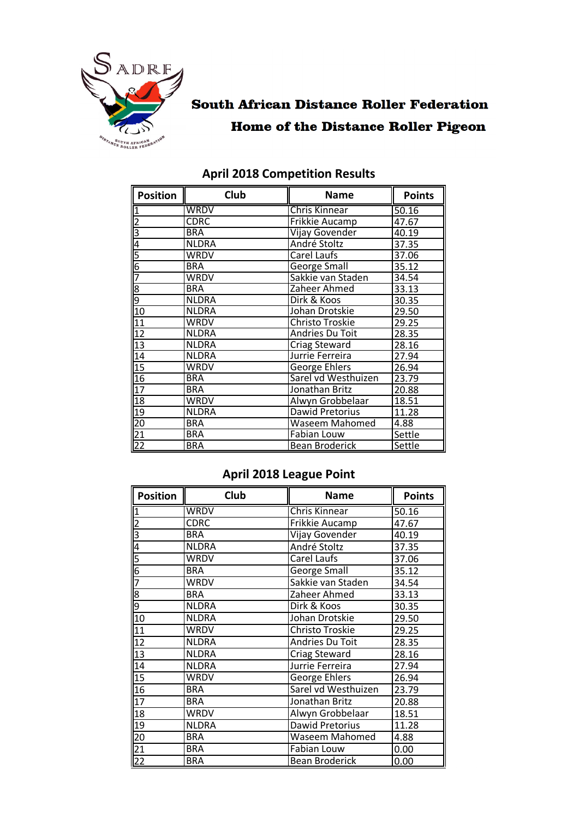

# **South African Distance Roller Federation Home of the Distance Roller Pigeon**

| $\sqrt{\frac{1}{1}}$ Position | Club         | <b>Name</b>                     | <b>Points</b> |
|-------------------------------|--------------|---------------------------------|---------------|
|                               | WRDV         | <b>Chris Kinnear</b>            | 50.16         |
|                               | <b>CDRC</b>  | Frikkie Aucamp                  | 47.67         |
|                               | <b>BRA</b>   | Vijay Govender                  | 40.19         |
|                               | <b>NLDRA</b> | André Stoltz                    | 37.35         |
|                               | WRDV         | Carel Laufs                     | 37.06         |
|                               | <b>BRA</b>   | George Small                    | 35.12         |
|                               | <b>WRDV</b>  | Sakkie van Staden               | 34.54         |
|                               | <b>BRA</b>   | Zaheer Ahmed                    | 33.13         |
|                               | <b>NLDRA</b> | Dirk & Koos                     | 30.35         |
|                               | <b>NLDRA</b> | Johan Drotskie                  | 29.50         |
|                               | <b>WRDV</b>  | Christo Troskie                 | 29.25         |
|                               | <b>NLDRA</b> | Andries Du Toit                 | 28.35         |
|                               | <b>NLDRA</b> | Criag Steward                   | 28.16         |
|                               | <b>NLDRA</b> | Jurrie Ferreira                 | 27.94         |
|                               | WRDV         | <b>George Ehlers</b>            | 26.94         |
|                               | <b>BRA</b>   | Sarel vd Westhuizen             | 23.79         |
|                               | <b>BRA</b>   | Jonathan Britz                  | 20.88         |
|                               | <b>WRDV</b>  | Alwyn Grobbelaar                | 18.51         |
|                               | <b>NLDRA</b> | Dawid Pretorius<br>11.28        |               |
|                               | <b>BRA</b>   | <b>Waseem Mahomed</b><br>4.88   |               |
|                               | <b>BRA</b>   | Fabian Louw                     | Settle        |
|                               | <b>BRA</b>   | <b>Bean Broderick</b><br>Settle |               |

### **April 2018 Competition Results**

### **April 2018 League Point**

| $\sqrt{\frac{1}{1}}$ Position                                                                               | Club         | <b>Name</b>              | <b>Points</b> |
|-------------------------------------------------------------------------------------------------------------|--------------|--------------------------|---------------|
| $\overline{1}$                                                                                              | <b>WRDV</b>  | <b>Chris Kinnear</b>     | 50.16         |
| <u>  2  3  4  5  6  7  6  7  6  7  6  7  6  7  6  7  6  7  6  7  6  7  6  7  6  7  6  7  6  7  6  7  6 </u> | <b>CDRC</b>  | Frikkie Aucamp           | 47.67         |
|                                                                                                             | <b>BRA</b>   | Vijay Govender           | 40.19         |
|                                                                                                             | <b>NLDRA</b> | André Stoltz             | 37.35         |
|                                                                                                             | <b>WRDV</b>  | Carel Laufs              | 37.06         |
|                                                                                                             | <b>BRA</b>   | <b>George Small</b>      | 35.12         |
|                                                                                                             | <b>WRDV</b>  | Sakkie van Staden        | 34.54         |
|                                                                                                             | <b>BRA</b>   | Zaheer Ahmed             | 33.13         |
|                                                                                                             | <b>NLDRA</b> | Dirk & Koos              | 30.35         |
|                                                                                                             | <b>NLDRA</b> | Johan Drotskie           | 29.50         |
| $\frac{11}{12}$<br>$\frac{12}{13}$<br>$\frac{13}{14}$                                                       | <b>WRDV</b>  | Christo Troskie          | 29.25         |
|                                                                                                             | <b>NLDRA</b> | Andries Du Toit          | 28.35         |
|                                                                                                             | <b>NLDRA</b> | Criag Steward            | 28.16         |
|                                                                                                             | <b>NLDRA</b> | Jurrie Ferreira          | 27.94         |
|                                                                                                             | <b>WRDV</b>  | George Ehlers            | 26.94         |
| $\frac{15}{15}$ $\frac{16}{17}$                                                                             | <b>BRA</b>   | Sarel vd Westhuizen      | 23.79         |
|                                                                                                             | <b>BRA</b>   | Jonathan Britz           | 20.88         |
|                                                                                                             | <b>WRDV</b>  | Alwyn Grobbelaar         | 18.51         |
| $\frac{18}{19}$<br>$\frac{19}{21}$<br>$\frac{21}{22}$                                                       | <b>NLDRA</b> | Dawid Pretorius<br>11.28 |               |
|                                                                                                             | <b>BRA</b>   | Waseem Mahomed<br>4.88   |               |
|                                                                                                             | <b>BRA</b>   | <b>Fabian Louw</b>       | 0.00          |
|                                                                                                             | <b>BRA</b>   | 0.00<br>Bean Broderick   |               |